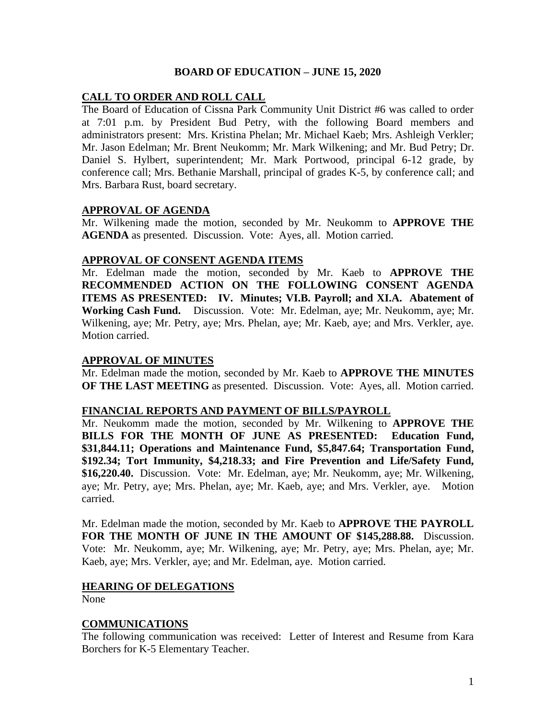# **BOARD OF EDUCATION – JUNE 15, 2020**

# **CALL TO ORDER AND ROLL CALL**

The Board of Education of Cissna Park Community Unit District #6 was called to order at 7:01 p.m. by President Bud Petry, with the following Board members and administrators present: Mrs. Kristina Phelan; Mr. Michael Kaeb; Mrs. Ashleigh Verkler; Mr. Jason Edelman; Mr. Brent Neukomm; Mr. Mark Wilkening; and Mr. Bud Petry; Dr. Daniel S. Hylbert, superintendent; Mr. Mark Portwood, principal 6-12 grade, by conference call; Mrs. Bethanie Marshall, principal of grades K-5, by conference call; and Mrs. Barbara Rust, board secretary.

# **APPROVAL OF AGENDA**

Mr. Wilkening made the motion, seconded by Mr. Neukomm to **APPROVE THE AGENDA** as presented. Discussion. Vote: Ayes, all. Motion carried.

#### **APPROVAL OF CONSENT AGENDA ITEMS**

Mr. Edelman made the motion, seconded by Mr. Kaeb to **APPROVE THE RECOMMENDED ACTION ON THE FOLLOWING CONSENT AGENDA ITEMS AS PRESENTED: IV. Minutes; VI.B. Payroll; and XI.A. Abatement of Working Cash Fund.** Discussion. Vote: Mr. Edelman, aye; Mr. Neukomm, aye; Mr. Wilkening, aye; Mr. Petry, aye; Mrs. Phelan, aye; Mr. Kaeb, aye; and Mrs. Verkler, aye. Motion carried.

# **APPROVAL OF MINUTES**

Mr. Edelman made the motion, seconded by Mr. Kaeb to **APPROVE THE MINUTES OF THE LAST MEETING** as presented. Discussion. Vote: Ayes, all. Motion carried.

#### **FINANCIAL REPORTS AND PAYMENT OF BILLS/PAYROLL**

Mr. Neukomm made the motion, seconded by Mr. Wilkening to **APPROVE THE BILLS FOR THE MONTH OF JUNE AS PRESENTED: Education Fund, \$31,844.11; Operations and Maintenance Fund, \$5,847.64; Transportation Fund, \$192.34; Tort Immunity, \$4,218.33; and Fire Prevention and Life/Safety Fund, \$16,220.40.** Discussion. Vote: Mr. Edelman, aye; Mr. Neukomm, aye; Mr. Wilkening, aye; Mr. Petry, aye; Mrs. Phelan, aye; Mr. Kaeb, aye; and Mrs. Verkler, aye. Motion carried.

Mr. Edelman made the motion, seconded by Mr. Kaeb to **APPROVE THE PAYROLL FOR THE MONTH OF JUNE IN THE AMOUNT OF \$145,288.88.** Discussion. Vote: Mr. Neukomm, aye; Mr. Wilkening, aye; Mr. Petry, aye; Mrs. Phelan, aye; Mr. Kaeb, aye; Mrs. Verkler, aye; and Mr. Edelman, aye. Motion carried.

# **HEARING OF DELEGATIONS**

None

# **COMMUNICATIONS**

The following communication was received: Letter of Interest and Resume from Kara Borchers for K-5 Elementary Teacher.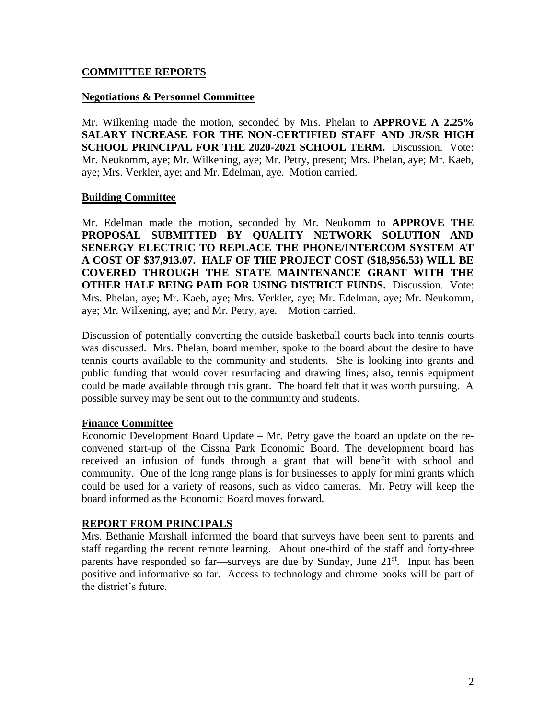# **COMMITTEE REPORTS**

### **Negotiations & Personnel Committee**

Mr. Wilkening made the motion, seconded by Mrs. Phelan to **APPROVE A 2.25% SALARY INCREASE FOR THE NON-CERTIFIED STAFF AND JR/SR HIGH SCHOOL PRINCIPAL FOR THE 2020-2021 SCHOOL TERM.** Discussion. Vote: Mr. Neukomm, aye; Mr. Wilkening, aye; Mr. Petry, present; Mrs. Phelan, aye; Mr. Kaeb, aye; Mrs. Verkler, aye; and Mr. Edelman, aye. Motion carried.

#### **Building Committee**

Mr. Edelman made the motion, seconded by Mr. Neukomm to **APPROVE THE PROPOSAL SUBMITTED BY QUALITY NETWORK SOLUTION AND SENERGY ELECTRIC TO REPLACE THE PHONE/INTERCOM SYSTEM AT A COST OF \$37,913.07. HALF OF THE PROJECT COST (\$18,956.53) WILL BE COVERED THROUGH THE STATE MAINTENANCE GRANT WITH THE OTHER HALF BEING PAID FOR USING DISTRICT FUNDS.** Discussion. Vote: Mrs. Phelan, aye; Mr. Kaeb, aye; Mrs. Verkler, aye; Mr. Edelman, aye; Mr. Neukomm, aye; Mr. Wilkening, aye; and Mr. Petry, aye. Motion carried.

Discussion of potentially converting the outside basketball courts back into tennis courts was discussed. Mrs. Phelan, board member, spoke to the board about the desire to have tennis courts available to the community and students. She is looking into grants and public funding that would cover resurfacing and drawing lines; also, tennis equipment could be made available through this grant. The board felt that it was worth pursuing. A possible survey may be sent out to the community and students.

# **Finance Committee**

Economic Development Board Update – Mr. Petry gave the board an update on the reconvened start-up of the Cissna Park Economic Board. The development board has received an infusion of funds through a grant that will benefit with school and community. One of the long range plans is for businesses to apply for mini grants which could be used for a variety of reasons, such as video cameras. Mr. Petry will keep the board informed as the Economic Board moves forward.

# **REPORT FROM PRINCIPALS**

Mrs. Bethanie Marshall informed the board that surveys have been sent to parents and staff regarding the recent remote learning. About one-third of the staff and forty-three parents have responded so far—surveys are due by Sunday, June 21<sup>st</sup>. Input has been positive and informative so far. Access to technology and chrome books will be part of the district's future.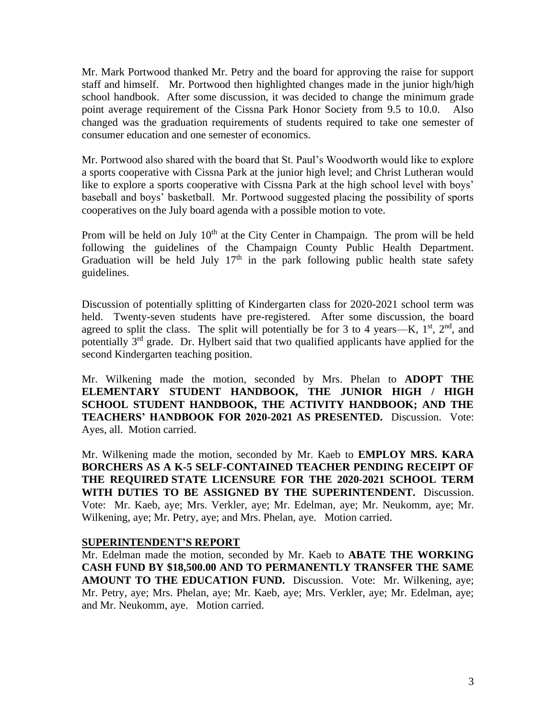Mr. Mark Portwood thanked Mr. Petry and the board for approving the raise for support staff and himself. Mr. Portwood then highlighted changes made in the junior high/high school handbook. After some discussion, it was decided to change the minimum grade point average requirement of the Cissna Park Honor Society from 9.5 to 10.0. Also changed was the graduation requirements of students required to take one semester of consumer education and one semester of economics.

Mr. Portwood also shared with the board that St. Paul's Woodworth would like to explore a sports cooperative with Cissna Park at the junior high level; and Christ Lutheran would like to explore a sports cooperative with Cissna Park at the high school level with boys' baseball and boys' basketball. Mr. Portwood suggested placing the possibility of sports cooperatives on the July board agenda with a possible motion to vote.

Prom will be held on July  $10<sup>th</sup>$  at the City Center in Champaign. The prom will be held following the guidelines of the Champaign County Public Health Department. Graduation will be held July  $17<sup>th</sup>$  in the park following public health state safety guidelines.

Discussion of potentially splitting of Kindergarten class for 2020-2021 school term was held. Twenty-seven students have pre-registered. After some discussion, the board agreed to split the class. The split will potentially be for 3 to 4 years—K,  $1<sup>st</sup>$ ,  $2<sup>nd</sup>$ , and potentially 3<sup>rd</sup> grade. Dr. Hylbert said that two qualified applicants have applied for the second Kindergarten teaching position.

Mr. Wilkening made the motion, seconded by Mrs. Phelan to **ADOPT THE ELEMENTARY STUDENT HANDBOOK, THE JUNIOR HIGH / HIGH SCHOOL STUDENT HANDBOOK, THE ACTIVITY HANDBOOK; AND THE TEACHERS' HANDBOOK FOR 2020-2021 AS PRESENTED.** Discussion. Vote: Ayes, all. Motion carried.

Mr. Wilkening made the motion, seconded by Mr. Kaeb to **EMPLOY MRS. KARA BORCHERS AS A K-5 SELF-CONTAINED TEACHER PENDING RECEIPT OF THE REQUIRED STATE LICENSURE FOR THE 2020-2021 SCHOOL TERM WITH DUTIES TO BE ASSIGNED BY THE SUPERINTENDENT.** Discussion. Vote: Mr. Kaeb, aye; Mrs. Verkler, aye; Mr. Edelman, aye; Mr. Neukomm, aye; Mr. Wilkening, aye; Mr. Petry, aye; and Mrs. Phelan, aye. Motion carried.

# **SUPERINTENDENT'S REPORT**

Mr. Edelman made the motion, seconded by Mr. Kaeb to **ABATE THE WORKING CASH FUND BY \$18,500.00 AND TO PERMANENTLY TRANSFER THE SAME AMOUNT TO THE EDUCATION FUND.** Discussion. Vote: Mr. Wilkening, aye; Mr. Petry, aye; Mrs. Phelan, aye; Mr. Kaeb, aye; Mrs. Verkler, aye; Mr. Edelman, aye; and Mr. Neukomm, aye. Motion carried.